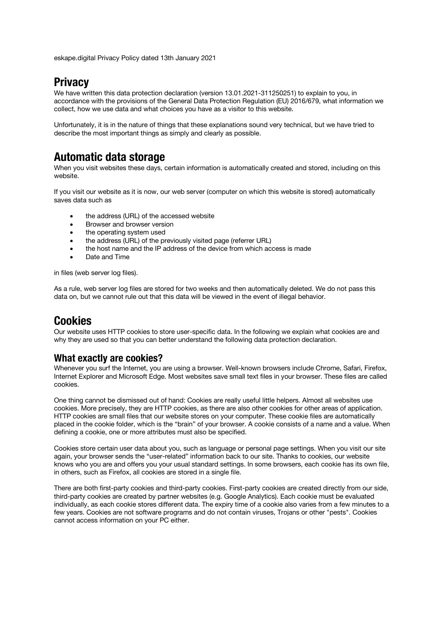eskape.digital Privacy Policy dated 13th January 2021

# **Privacy**

We have written this data protection declaration (version 13.01.2021-311250251) to explain to you, in accordance with the provisions of the General Data Protection Regulation (EU) 2016/679, what information we collect, how we use data and what choices you have as a visitor to this website.

Unfortunately, it is in the nature of things that these explanations sound very technical, but we have tried to describe the most important things as simply and clearly as possible.

# **Automatic data storage**

When you visit websites these days, certain information is automatically created and stored, including on this website.

If you visit our website as it is now, our web server (computer on which this website is stored) automatically saves data such as

- the address (URL) of the accessed website
- Browser and browser version
- the operating system used
- the address (URL) of the previously visited page (referrer URL)
- the host name and the IP address of the device from which access is made
- Date and Time

in files (web server log files).

As a rule, web server log files are stored for two weeks and then automatically deleted. We do not pass this data on, but we cannot rule out that this data will be viewed in the event of illegal behavior.

# **Cookies**

Our website uses HTTP cookies to store user-specific data. In the following we explain what cookies are and why they are used so that you can better understand the following data protection declaration.

### **What exactly are cookies?**

Whenever you surf the Internet, you are using a browser. Well-known browsers include Chrome, Safari, Firefox, Internet Explorer and Microsoft Edge. Most websites save small text files in your browser. These files are called cookies.

One thing cannot be dismissed out of hand: Cookies are really useful little helpers. Almost all websites use cookies. More precisely, they are HTTP cookies, as there are also other cookies for other areas of application. HTTP cookies are small files that our website stores on your computer. These cookie files are automatically placed in the cookie folder, which is the "brain" of your browser. A cookie consists of a name and a value. When defining a cookie, one or more attributes must also be specified.

Cookies store certain user data about you, such as language or personal page settings. When you visit our site again, your browser sends the "user-related" information back to our site. Thanks to cookies, our website knows who you are and offers you your usual standard settings. In some browsers, each cookie has its own file, in others, such as Firefox, all cookies are stored in a single file.

There are both first-party cookies and third-party cookies. First-party cookies are created directly from our side, third-party cookies are created by partner websites (e.g. Google Analytics). Each cookie must be evaluated individually, as each cookie stores different data. The expiry time of a cookie also varies from a few minutes to a few years. Cookies are not software programs and do not contain viruses, Trojans or other "pests". Cookies cannot access information on your PC either.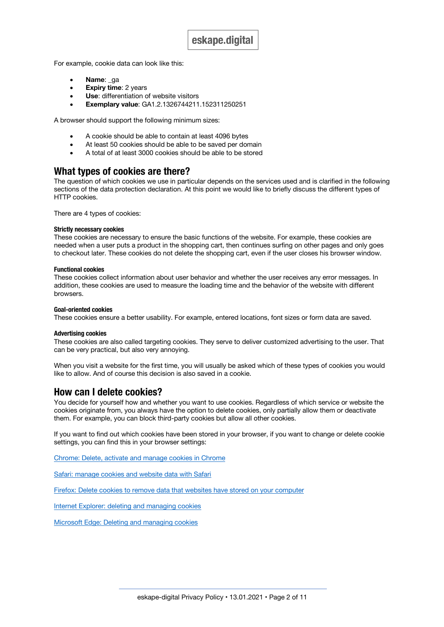For example, cookie data can look like this:

- **Name**: ga
- **Expiry time: 2 years**
- **Use:** differentiation of website visitors
- **Exemplary value**: GA1.2.1326744211.152311250251

A browser should support the following minimum sizes:

- A cookie should be able to contain at least 4096 bytes
- At least 50 cookies should be able to be saved per domain
- A total of at least 3000 cookies should be able to be stored

#### **What types of cookies are there?**

The question of which cookies we use in particular depends on the services used and is clarified in the following sections of the data protection declaration. At this point we would like to briefly discuss the different types of HTTP cookies.

There are 4 types of cookies:

#### **Strictly necessary cookies**

These cookies are necessary to ensure the basic functions of the website. For example, these cookies are needed when a user puts a product in the shopping cart, then continues surfing on other pages and only goes to checkout later. These cookies do not delete the shopping cart, even if the user closes his browser window.

#### **Functional cookies**

These cookies collect information about user behavior and whether the user receives any error messages. In addition, these cookies are used to measure the loading time and the behavior of the website with different browsers.

#### **Goal-oriented cookies**

These cookies ensure a better usability. For example, entered locations, font sizes or form data are saved.

#### **Advertising cookies**

These cookies are also called targeting cookies. They serve to deliver customized advertising to the user. That can be very practical, but also very annoying.

When you visit a website for the first time, you will usually be asked which of these types of cookies you would like to allow. And of course this decision is also saved in a cookie.

#### **How can I delete cookies?**

You decide for yourself how and whether you want to use cookies. Regardless of which service or website the cookies originate from, you always have the option to delete cookies, only partially allow them or deactivate them. For example, you can block third-party cookies but allow all other cookies.

If you want to find out which cookies have been stored in your browser, if you want to change or delete cookie settings, you can find this in your browser settings:

Chrome: Delete, activate and manage cookies in Chrome

Safari: manage cookies and website data with Safari

Firefox: Delete cookies to remove data that websites have stored on your computer

Internet Explorer: deleting and managing cookies

Microsoft Edge: Deleting and managing cookies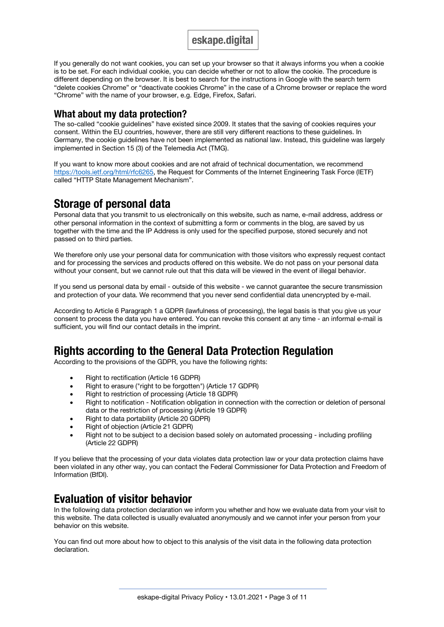If you generally do not want cookies, you can set up your browser so that it always informs you when a cookie is to be set. For each individual cookie, you can decide whether or not to allow the cookie. The procedure is different depending on the browser. It is best to search for the instructions in Google with the search term "delete cookies Chrome" or "deactivate cookies Chrome" in the case of a Chrome browser or replace the word "Chrome" with the name of your browser, e.g. Edge, Firefox, Safari.

### **What about my data protection?**

The so-called "cookie guidelines" have existed since 2009. It states that the saving of cookies requires your consent. Within the EU countries, however, there are still very different reactions to these guidelines. In Germany, the cookie guidelines have not been implemented as national law. Instead, this guideline was largely implemented in Section 15 (3) of the Telemedia Act (TMG).

If you want to know more about cookies and are not afraid of technical documentation, we recommend https://tools.ietf.org/html/rfc6265, the Request for Comments of the Internet Engineering Task Force (IETF) called "HTTP State Management Mechanism".

# **Storage of personal data**

Personal data that you transmit to us electronically on this website, such as name, e-mail address, address or other personal information in the context of submitting a form or comments in the blog, are saved by us together with the time and the IP Address is only used for the specified purpose, stored securely and not passed on to third parties.

We therefore only use your personal data for communication with those visitors who expressly request contact and for processing the services and products offered on this website. We do not pass on your personal data without your consent, but we cannot rule out that this data will be viewed in the event of illegal behavior.

If you send us personal data by email - outside of this website - we cannot guarantee the secure transmission and protection of your data. We recommend that you never send confidential data unencrypted by e-mail.

According to Article 6 Paragraph 1 a GDPR (lawfulness of processing), the legal basis is that you give us your consent to process the data you have entered. You can revoke this consent at any time - an informal e-mail is sufficient, you will find our contact details in the imprint.

# **Rights according to the General Data Protection Regulation**

According to the provisions of the GDPR, you have the following rights:

- Right to rectification (Article 16 GDPR)
- Right to erasure ("right to be forgotten") (Article 17 GDPR)
- Right to restriction of processing (Article 18 GDPR)
- Right to notification Notification obligation in connection with the correction or deletion of personal data or the restriction of processing (Article 19 GDPR)
- Right to data portability (Article 20 GDPR)
- Right of objection (Article 21 GDPR)
- Right not to be subject to a decision based solely on automated processing including profiling (Article 22 GDPR)

If you believe that the processing of your data violates data protection law or your data protection claims have been violated in any other way, you can contact the Federal Commissioner for Data Protection and Freedom of Information (BfDI).

# **Evaluation of visitor behavior**

In the following data protection declaration we inform you whether and how we evaluate data from your visit to this website. The data collected is usually evaluated anonymously and we cannot infer your person from your behavior on this website.

You can find out more about how to object to this analysis of the visit data in the following data protection declaration.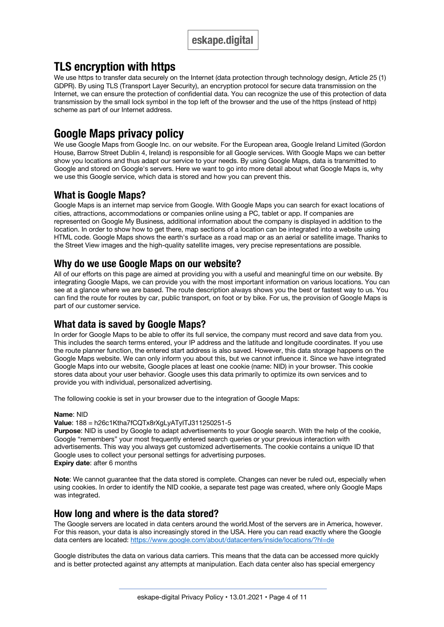# **TLS encryption with https**

We use https to transfer data securely on the Internet (data protection through technology design, Article 25 (1) GDPR). By using TLS (Transport Layer Security), an encryption protocol for secure data transmission on the Internet, we can ensure the protection of confidential data. You can recognize the use of this protection of data transmission by the small lock symbol in the top left of the browser and the use of the https (instead of http) scheme as part of our Internet address.

# **Google Maps privacy policy**

We use Google Maps from Google Inc. on our website. For the European area, Google Ireland Limited (Gordon House, Barrow Street Dublin 4, Ireland) is responsible for all Google services. With Google Maps we can better show you locations and thus adapt our service to your needs. By using Google Maps, data is transmitted to Google and stored on Google's servers. Here we want to go into more detail about what Google Maps is, why we use this Google service, which data is stored and how you can prevent this.

## **What is Google Maps?**

Google Maps is an internet map service from Google. With Google Maps you can search for exact locations of cities, attractions, accommodations or companies online using a PC, tablet or app. If companies are represented on Google My Business, additional information about the company is displayed in addition to the location. In order to show how to get there, map sections of a location can be integrated into a website using HTML code. Google Maps shows the earth's surface as a road map or as an aerial or satellite image. Thanks to the Street View images and the high-quality satellite images, very precise representations are possible.

### **Why do we use Google Maps on our website?**

All of our efforts on this page are aimed at providing you with a useful and meaningful time on our website. By integrating Google Maps, we can provide you with the most important information on various locations. You can see at a glance where we are based. The route description always shows you the best or fastest way to us. You can find the route for routes by car, public transport, on foot or by bike. For us, the provision of Google Maps is part of our customer service.

### **What data is saved by Google Maps?**

In order for Google Maps to be able to offer its full service, the company must record and save data from you. This includes the search terms entered, your IP address and the latitude and longitude coordinates. If you use the route planner function, the entered start address is also saved. However, this data storage happens on the Google Maps website. We can only inform you about this, but we cannot influence it. Since we have integrated Google Maps into our website, Google places at least one cookie (name: NID) in your browser. This cookie stores data about your user behavior. Google uses this data primarily to optimize its own services and to provide you with individual, personalized advertising.

The following cookie is set in your browser due to the integration of Google Maps:

#### **Name**: NID

#### **Value**: 188 = h26c1Ktha7fCQTx8rXgLyATyITJ311250251-5

**Purpose:** NID is used by Google to adapt advertisements to your Google search. With the help of the cookie, Google "remembers" your most frequently entered search queries or your previous interaction with advertisements. This way you always get customized advertisements. The cookie contains a unique ID that Google uses to collect your personal settings for advertising purposes. **Expiry date**: after 6 months

**Note**: We cannot guarantee that the data stored is complete. Changes can never be ruled out, especially when using cookies. In order to identify the NID cookie, a separate test page was created, where only Google Maps was integrated.

### **How long and where is the data stored?**

The Google servers are located in data centers around the world.Most of the servers are in America, however. For this reason, your data is also increasingly stored in the USA. Here you can read exactly where the Google data centers are located: https://www.google.com/about/datacenters/inside/locations/?hl=de

Google distributes the data on various data carriers. This means that the data can be accessed more quickly and is better protected against any attempts at manipulation. Each data center also has special emergency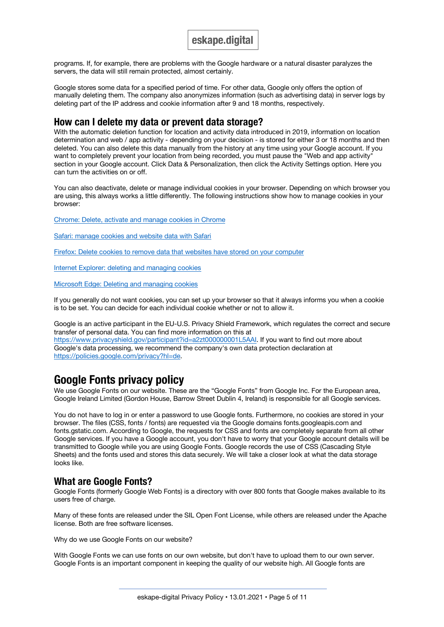programs. If, for example, there are problems with the Google hardware or a natural disaster paralyzes the servers, the data will still remain protected, almost certainly.

Google stores some data for a specified period of time. For other data, Google only offers the option of manually deleting them. The company also anonymizes information (such as advertising data) in server logs by deleting part of the IP address and cookie information after 9 and 18 months, respectively.

### **How can I delete my data or prevent data storage?**

With the automatic deletion function for location and activity data introduced in 2019, information on location determination and web / app activity - depending on your decision - is stored for either 3 or 18 months and then deleted. You can also delete this data manually from the history at any time using your Google account. If you want to completely prevent your location from being recorded, you must pause the "Web and app activity" section in your Google account. Click Data & Personalization, then click the Activity Settings option. Here you can turn the activities on or off.

You can also deactivate, delete or manage individual cookies in your browser. Depending on which browser you are using, this always works a little differently. The following instructions show how to manage cookies in your browser:

Chrome: Delete, activate and manage cookies in Chrome

Safari: manage cookies and website data with Safari

Firefox: Delete cookies to remove data that websites have stored on your computer

Internet Explorer: deleting and managing cookies

Microsoft Edge: Deleting and managing cookies

If you generally do not want cookies, you can set up your browser so that it always informs you when a cookie is to be set. You can decide for each individual cookie whether or not to allow it.

Google is an active participant in the EU-U.S. Privacy Shield Framework, which regulates the correct and secure transfer of personal data. You can find more information on this at https://www.privacyshield.gov/participant?id=a2zt000000001L5AAI. If you want to find out more about Google's data processing, we recommend the company's own data protection declaration at https://policies.google.com/privacy?hl=de.

# **Google Fonts privacy policy**

We use Google Fonts on our website. These are the "Google Fonts" from Google Inc. For the European area, Google Ireland Limited (Gordon House, Barrow Street Dublin 4, Ireland) is responsible for all Google services.

You do not have to log in or enter a password to use Google fonts. Furthermore, no cookies are stored in your browser. The files (CSS, fonts / fonts) are requested via the Google domains fonts.googleapis.com and fonts.gstatic.com. According to Google, the requests for CSS and fonts are completely separate from all other Google services. If you have a Google account, you don't have to worry that your Google account details will be transmitted to Google while you are using Google Fonts. Google records the use of CSS (Cascading Style Sheets) and the fonts used and stores this data securely. We will take a closer look at what the data storage looks like.

### **What are Google Fonts?**

Google Fonts (formerly Google Web Fonts) is a directory with over 800 fonts that Google makes available to its users free of charge.

Many of these fonts are released under the SIL Open Font License, while others are released under the Apache license. Both are free software licenses.

Why do we use Google Fonts on our website?

With Google Fonts we can use fonts on our own website, but don't have to upload them to our own server. Google Fonts is an important component in keeping the quality of our website high. All Google fonts are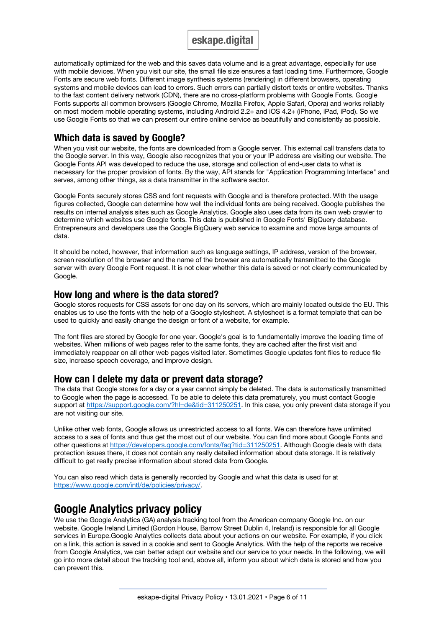automatically optimized for the web and this saves data volume and is a great advantage, especially for use with mobile devices. When you visit our site, the small file size ensures a fast loading time. Furthermore, Google Fonts are secure web fonts. Different image synthesis systems (rendering) in different browsers, operating systems and mobile devices can lead to errors. Such errors can partially distort texts or entire websites. Thanks to the fast content delivery network (CDN), there are no cross-platform problems with Google Fonts. Google Fonts supports all common browsers (Google Chrome, Mozilla Firefox, Apple Safari, Opera) and works reliably on most modern mobile operating systems, including Android 2.2+ and iOS 4.2+ (iPhone, iPad, iPod). So we use Google Fonts so that we can present our entire online service as beautifully and consistently as possible.

### **Which data is saved by Google?**

When you visit our website, the fonts are downloaded from a Google server. This external call transfers data to the Google server. In this way, Google also recognizes that you or your IP address are visiting our website. The Google Fonts API was developed to reduce the use, storage and collection of end-user data to what is necessary for the proper provision of fonts. By the way, API stands for "Application Programming Interface" and serves, among other things, as a data transmitter in the software sector.

Google Fonts securely stores CSS and font requests with Google and is therefore protected. With the usage figures collected, Google can determine how well the individual fonts are being received. Google publishes the results on internal analysis sites such as Google Analytics. Google also uses data from its own web crawler to determine which websites use Google fonts. This data is published in Google Fonts' BigQuery database. Entrepreneurs and developers use the Google BigQuery web service to examine and move large amounts of data.

It should be noted, however, that information such as language settings, IP address, version of the browser, screen resolution of the browser and the name of the browser are automatically transmitted to the Google server with every Google Font request. It is not clear whether this data is saved or not clearly communicated by Google.

### **How long and where is the data stored?**

Google stores requests for CSS assets for one day on its servers, which are mainly located outside the EU. This enables us to use the fonts with the help of a Google stylesheet. A stylesheet is a format template that can be used to quickly and easily change the design or font of a website, for example.

The font files are stored by Google for one year. Google's goal is to fundamentally improve the loading time of websites. When millions of web pages refer to the same fonts, they are cached after the first visit and immediately reappear on all other web pages visited later. Sometimes Google updates font files to reduce file size, increase speech coverage, and improve design.

### **How can I delete my data or prevent data storage?**

The data that Google stores for a day or a year cannot simply be deleted. The data is automatically transmitted to Google when the page is accessed. To be able to delete this data prematurely, you must contact Google support at https://support.google.com/?hl=de&tid=311250251. In this case, you only prevent data storage if you are not visiting our site.

Unlike other web fonts, Google allows us unrestricted access to all fonts. We can therefore have unlimited access to a sea of fonts and thus get the most out of our website. You can find more about Google Fonts and other questions at https://developers.google.com/fonts/faq?tid=311250251. Although Google deals with data protection issues there, it does not contain any really detailed information about data storage. It is relatively difficult to get really precise information about stored data from Google.

You can also read which data is generally recorded by Google and what this data is used for at https://www.google.com/intl/de/policies/privacy/.

# **Google Analytics privacy policy**

We use the Google Analytics (GA) analysis tracking tool from the American company Google Inc. on our website. Google Ireland Limited (Gordon House, Barrow Street Dublin 4, Ireland) is responsible for all Google services in Europe.Google Analytics collects data about your actions on our website. For example, if you click on a link, this action is saved in a cookie and sent to Google Analytics. With the help of the reports we receive from Google Analytics, we can better adapt our website and our service to your needs. In the following, we will go into more detail about the tracking tool and, above all, inform you about which data is stored and how you can prevent this.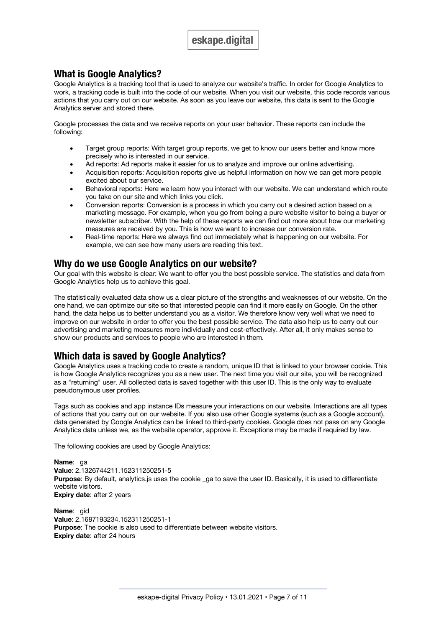### **What is Google Analytics?**

Google Analytics is a tracking tool that is used to analyze our website's traffic. In order for Google Analytics to work, a tracking code is built into the code of our website. When you visit our website, this code records various actions that you carry out on our website. As soon as you leave our website, this data is sent to the Google Analytics server and stored there.

Google processes the data and we receive reports on your user behavior. These reports can include the following:

- Target group reports: With target group reports, we get to know our users better and know more precisely who is interested in our service.
- Ad reports: Ad reports make it easier for us to analyze and improve our online advertising.
- Acquisition reports: Acquisition reports give us helpful information on how we can get more people excited about our service.
- Behavioral reports: Here we learn how you interact with our website. We can understand which route you take on our site and which links you click.
- Conversion reports: Conversion is a process in which you carry out a desired action based on a marketing message. For example, when you go from being a pure website visitor to being a buyer or newsletter subscriber. With the help of these reports we can find out more about how our marketing measures are received by you. This is how we want to increase our conversion rate.
- Real-time reports: Here we always find out immediately what is happening on our website. For example, we can see how many users are reading this text.

### **Why do we use Google Analytics on our website?**

Our goal with this website is clear: We want to offer you the best possible service. The statistics and data from Google Analytics help us to achieve this goal.

The statistically evaluated data show us a clear picture of the strengths and weaknesses of our website. On the one hand, we can optimize our site so that interested people can find it more easily on Google. On the other hand, the data helps us to better understand you as a visitor. We therefore know very well what we need to improve on our website in order to offer you the best possible service. The data also help us to carry out our advertising and marketing measures more individually and cost-effectively. After all, it only makes sense to show our products and services to people who are interested in them.

## **Which data is saved by Google Analytics?**

Google Analytics uses a tracking code to create a random, unique ID that is linked to your browser cookie. This is how Google Analytics recognizes you as a new user. The next time you visit our site, you will be recognized as a "returning" user. All collected data is saved together with this user ID. This is the only way to evaluate pseudonymous user profiles.

Tags such as cookies and app instance IDs measure your interactions on our website. Interactions are all types of actions that you carry out on our website. If you also use other Google systems (such as a Google account), data generated by Google Analytics can be linked to third-party cookies. Google does not pass on any Google Analytics data unless we, as the website operator, approve it. Exceptions may be made if required by law.

The following cookies are used by Google Analytics:

**Name**: \_ga **Value**: 2.1326744211.152311250251-5 **Purpose**: By default, analytics is uses the cookie ga to save the user ID. Basically, it is used to differentiate website visitors. **Expiry date:** after 2 years

**Name**: \_gid **Value**: 2.1687193234.152311250251-1 **Purpose**: The cookie is also used to differentiate between website visitors. **Expiry date**: after 24 hours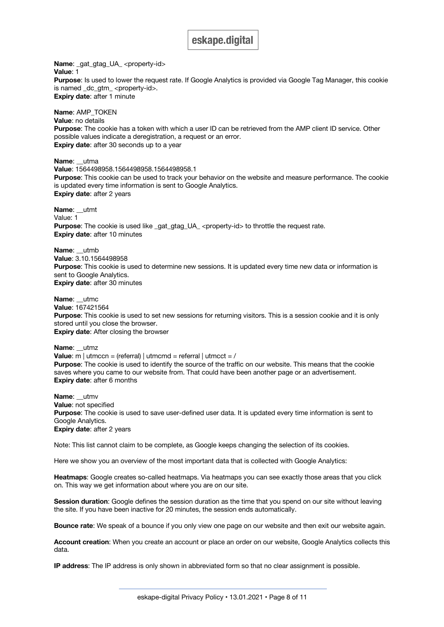**Name:** gat gtag UA\_<property-id> **Value**: 1 Purpose: Is used to lower the request rate. If Google Analytics is provided via Google Tag Manager, this cookie is named \_dc\_gtm\_ <property-id>. **Expiry date**: after 1 minute

**Name**: AMP\_TOKEN **Value**: no details **Purpose**: The cookie has a token with which a user ID can be retrieved from the AMP client ID service. Other possible values indicate a deregistration, a request or an error. **Expiry date**: after 30 seconds up to a year

**Name**: \_\_utma **Value**: 1564498958.1564498958.1564498958.1 **Purpose**: This cookie can be used to track your behavior on the website and measure performance. The cookie is updated every time information is sent to Google Analytics. **Expiry date**: after 2 years

**Name**: \_\_utmt Value: 1 **Purpose**: The cookie is used like \_gat\_gtag\_UA\_ <property-id> to throttle the request rate. **Expiry date**: after 10 minutes

**Name**: \_\_utmb **Value**: 3.10.1564498958 **Purpose**: This cookie is used to determine new sessions. It is updated every time new data or information is sent to Google Analytics. **Expiry date**: after 30 minutes

**Name**: \_\_utmc **Value**: 167421564 **Purpose**: This cookie is used to set new sessions for returning visitors. This is a session cookie and it is only stored until you close the browser. **Expiry date**: After closing the browser

**Name**: \_\_utmz **Value**: m | utmccn = (referral) | utmcmd = referral | utmcct = / **Purpose**: The cookie is used to identify the source of the traffic on our website. This means that the cookie saves where you came to our website from. That could have been another page or an advertisement. **Expiry date**: after 6 months

**Name**: \_\_utmv **Value**: not specified **Purpose**: The cookie is used to save user-defined user data. It is updated every time information is sent to Google Analytics. **Expiry date**: after 2 years

Note: This list cannot claim to be complete, as Google keeps changing the selection of its cookies.

Here we show you an overview of the most important data that is collected with Google Analytics:

**Heatmaps**: Google creates so-called heatmaps. Via heatmaps you can see exactly those areas that you click on. This way we get information about where you are on our site.

**Session duration**: Google defines the session duration as the time that you spend on our site without leaving the site. If you have been inactive for 20 minutes, the session ends automatically.

**Bounce rate**: We speak of a bounce if you only view one page on our website and then exit our website again.

**Account creation**: When you create an account or place an order on our website, Google Analytics collects this data.

**IP address**: The IP address is only shown in abbreviated form so that no clear assignment is possible.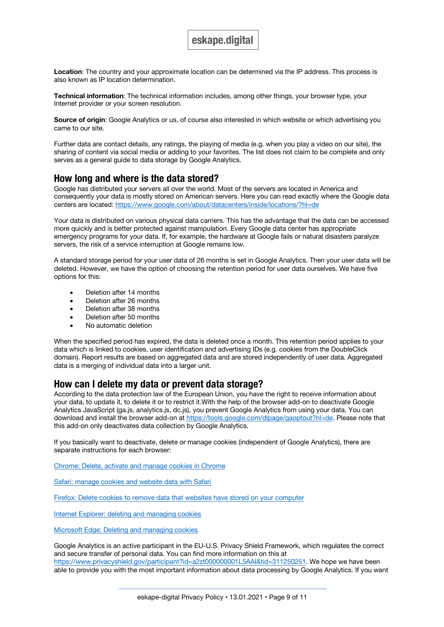**Location**: The country and your approximate location can be determined via the IP address. This process is also known as IP location determination.

**Technical information**: The technical information includes, among other things, your browser type, your Internet provider or your screen resolution.

**Source of origin:** Google Analytics or us, of course also interested in which website or which advertising you came to our site.

Further data are contact details, any ratings, the playing of media (e.g. when you play a video on our site), the sharing of content via social media or adding to your favorites. The list does not claim to be complete and only serves as a general guide to data storage by Google Analytics.

### **How long and where is the data stored?**

Google has distributed your servers all over the world. Most of the servers are located in America and consequently your data is mostly stored on American servers. Here you can read exactly where the Google data centers are located: https://www.google.com/about/datacenters/inside/locations/?hl=de

Your data is distributed on various physical data carriers. This has the advantage that the data can be accessed more quickly and is better protected against manipulation. Every Google data center has appropriate emergency programs for your data. If, for example, the hardware at Google fails or natural disasters paralyze servers, the risk of a service interruption at Google remains low.

A standard storage period for your user data of 26 months is set in Google Analytics. Then your user data will be deleted. However, we have the option of choosing the retention period for user data ourselves. We have five options for this:

- Deletion after 14 months
- Deletion after 26 months
- Deletion after 38 months
- Deletion after 50 months
- No automatic deletion

When the specified period has expired, the data is deleted once a month. This retention period applies to your data which is linked to cookies, user identification and advertising IDs (e.g. cookies from the DoubleClick domain). Report results are based on aggregated data and are stored independently of user data. Aggregated data is a merging of individual data into a larger unit.

### **How can I delete my data or prevent data storage?**

According to the data protection law of the European Union, you have the right to receive information about your data, to update it, to delete it or to restrict it.With the help of the browser add-on to deactivate Google Analytics JavaScript (ga.js, analytics.js, dc.js), you prevent Google Analytics from using your data. You can download and install the browser add-on at https://tools.google.com/dlpage/gaoptout?hl=de. Please note that this add-on only deactivates data collection by Google Analytics.

If you basically want to deactivate, delete or manage cookies (independent of Google Analytics), there are separate instructions for each browser:

Chrome: Delete, activate and manage cookies in Chrome

Safari: manage cookies and website data with Safari

Firefox: Delete cookies to remove data that websites have stored on your computer

Internet Explorer: deleting and managing cookies

Microsoft Edge: Deleting and managing cookies

Google Analytics is an active participant in the EU-U.S. Privacy Shield Framework, which regulates the correct and secure transfer of personal data. You can find more information on this at https://www.privacyshield.gov/participant?id=a2zt000000001L5AAI&tid=311250251. We hope we have been able to provide you with the most important information about data processing by Google Analytics. If you want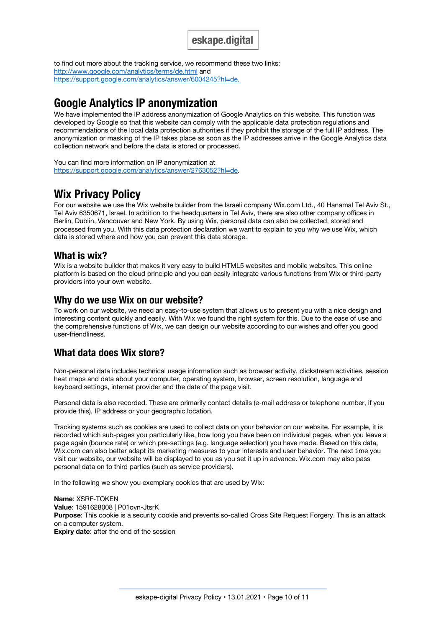to find out more about the tracking service, we recommend these two links: http://www.google.com/analytics/terms/de.html and https://support.google.com/analytics/answer/6004245?hl=de.

# **Google Analytics IP anonymization**

We have implemented the IP address anonymization of Google Analytics on this website. This function was developed by Google so that this website can comply with the applicable data protection regulations and recommendations of the local data protection authorities if they prohibit the storage of the full IP address. The anonymization or masking of the IP takes place as soon as the IP addresses arrive in the Google Analytics data collection network and before the data is stored or processed.

You can find more information on IP anonymization at https://support.google.com/analytics/answer/2763052?hl=de.

# **Wix Privacy Policy**

For our website we use the Wix website builder from the Israeli company Wix.com Ltd., 40 Hanamal Tel Aviv St., Tel Aviv 6350671, Israel. In addition to the headquarters in Tel Aviv, there are also other company offices in Berlin, Dublin, Vancouver and New York. By using Wix, personal data can also be collected, stored and processed from you. With this data protection declaration we want to explain to you why we use Wix, which data is stored where and how you can prevent this data storage.

### **What is wix?**

Wix is a website builder that makes it very easy to build HTML5 websites and mobile websites. This online platform is based on the cloud principle and you can easily integrate various functions from Wix or third-party providers into your own website.

### **Why do we use Wix on our website?**

To work on our website, we need an easy-to-use system that allows us to present you with a nice design and interesting content quickly and easily. With Wix we found the right system for this. Due to the ease of use and the comprehensive functions of Wix, we can design our website according to our wishes and offer you good user-friendliness.

## **What data does Wix store?**

Non-personal data includes technical usage information such as browser activity, clickstream activities, session heat maps and data about your computer, operating system, browser, screen resolution, language and keyboard settings, internet provider and the date of the page visit.

Personal data is also recorded. These are primarily contact details (e-mail address or telephone number, if you provide this), IP address or your geographic location.

Tracking systems such as cookies are used to collect data on your behavior on our website. For example, it is recorded which sub-pages you particularly like, how long you have been on individual pages, when you leave a page again (bounce rate) or which pre-settings (e.g. language selection) you have made. Based on this data, Wix.com can also better adapt its marketing measures to your interests and user behavior. The next time you visit our website, our website will be displayed to you as you set it up in advance. Wix.com may also pass personal data on to third parties (such as service providers).

In the following we show you exemplary cookies that are used by Wix:

**Name**: XSRF-TOKEN **Value**: 1591628008 | P01ovn-JtsrK **Purpose**: This cookie is a security cookie and prevents so-called Cross Site Request Forgery. This is an attack on a computer system. **Expiry date**: after the end of the session